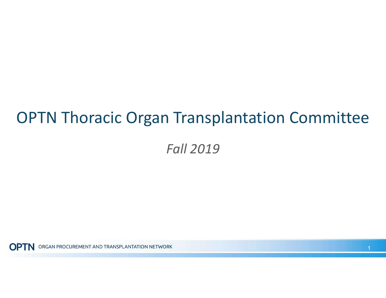#### OPTN Thoracic Organ Transplantation Committee

Fall 2019

**OPTN** ORGAN PROCUREMENT AND TRANSPLANTATION NETWORK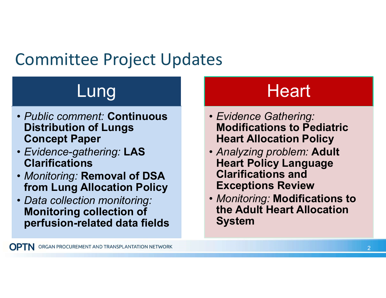## Committee Project Updates

# Lung

- • Public comment: Continuous Distribution of Lungs Concept Paper
- Evidence-gathering: LAS **Clarifications**
- • Monitoring: Removal of DSA from Lung Allocation Policy
- • Data collection monitoring: Monitoring collection of perfusion-related data fields

## **Heart**

- • Evidence Gathering: Modifications to Pediatric Heart Allocation Policy
- • Analyzing problem: Adult Heart Policy Language Clarifications and Exceptions Review
- • Monitoring: Modifications to the Adult Heart Allocation System

**OPTN** ORGAN PROCUREMENT AND TRANSPLANTATION NETWORK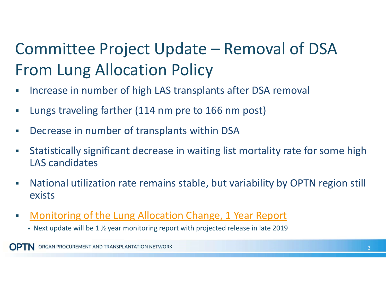## Committee Project Update – Removal of DSA From Lung Allocation Policy

- **Increase in number of high LAS transplants after DSA removal**
- **Lungs traveling farther (114 nm pre to 166 nm post)**
- Decrease in number of transplants within DSA
- Statistically significant decrease in waiting list mortality rate for some high LAS candidates
- National utilization rate remains stable, but variability by OPTN region still exists
- Monitoring of the Lung Allocation Change, 1 Year Report
	- $\blacksquare$  Next update will be 1  $\frac{1}{2}$  year monitoring report with projected release in late 2019

ORGAN PROCUREMENT AND TRANSPLANTATION NETWORK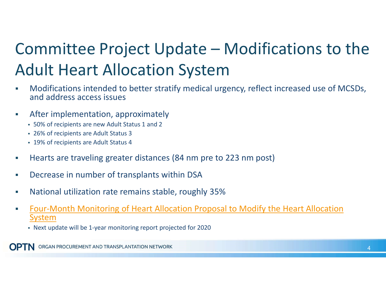## Committee Project Update – Modifications to the Adult Heart Allocation System

- Modifications intended to better stratify medical urgency, reflect increased use of MCSDs, and address access issues
- After implementation, approximately
	- 50% of recipients are new Adult Status 1 and 2
	- 26% of recipients are Adult Status 3
	- 19% of recipients are Adult Status 4
- **Hearts are traveling greater distances (84 nm pre to 223 nm post)**
- Decrease in number of transplants within DSA
- National utilization rate remains stable, roughly 35%
- **Four-Month Monitoring of Heart Allocation Proposal to Modify the Heart Allocation** System
	- Next update will be 1-year monitoring report projected for 2020

ORGAN PROCUREMENT AND TRANSPLANTATION NETWORK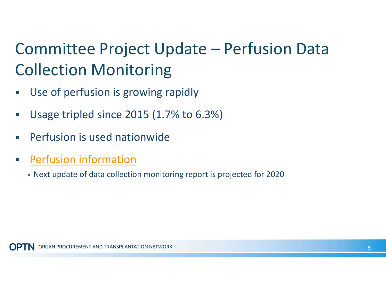## Committee Project Update – Perfusion Data Collection Monitoring

- **Use of perfusion is growing rapidly**
- Usage tripled since 2015 (1.7% to 6.3%)
- **Perfusion is used nationwide**
- **Perfusion information** 
	- Next update of data collection monitoring report is projected for 2020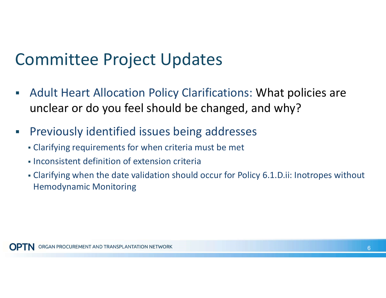#### Committee Project Updates

- Adult Heart Allocation Policy Clarifications: What policies are unclear or do you feel should be changed, and why?
- **Previously identified issues being addresses** 
	- Clarifying requirements for when criteria must be met
	- **Inconsistent definition of extension criteria**
	- Clarifying when the date validation should occur for Policy [6.1.D.ii](https://6.1.D.ii): Inotropes without Hemodynamic Monitoring